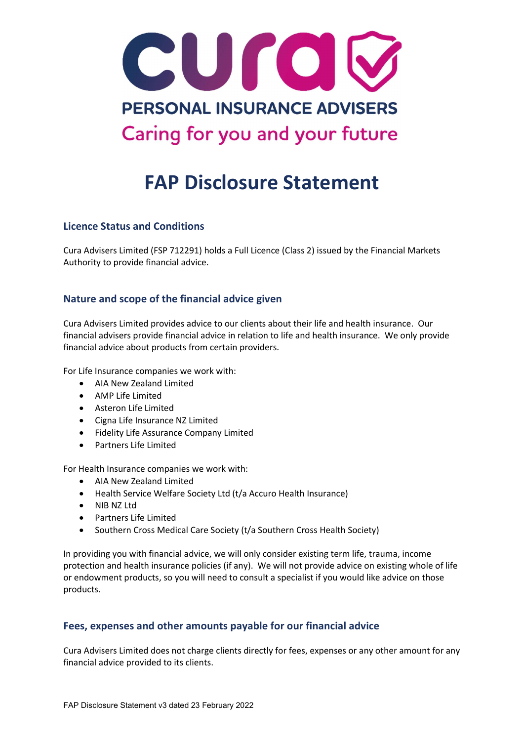

# FAP Disclosure Statement

## Licence Status and Conditions

Cura Advisers Limited (FSP 712291) holds a Full Licence (Class 2) issued by the Financial Markets Authority to provide financial advice.

# Nature and scope of the financial advice given

Cura Advisers Limited provides advice to our clients about their life and health insurance. Our financial advisers provide financial advice in relation to life and health insurance. We only provide financial advice about products from certain providers.

For Life Insurance companies we work with:

- AIA New Zealand Limited
- AMP Life Limited
- Asteron Life Limited
- Cigna Life Insurance NZ Limited
- Fidelity Life Assurance Company Limited
- Partners Life Limited

For Health Insurance companies we work with:

- AIA New Zealand Limited
- Health Service Welfare Society Ltd (t/a Accuro Health Insurance)
- NIB NZ Ltd
- Partners Life Limited
- Southern Cross Medical Care Society (t/a Southern Cross Health Society)

In providing you with financial advice, we will only consider existing term life, trauma, income protection and health insurance policies (if any). We will not provide advice on existing whole of life or endowment products, so you will need to consult a specialist if you would like advice on those products.

## Fees, expenses and other amounts payable for our financial advice

Cura Advisers Limited does not charge clients directly for fees, expenses or any other amount for any financial advice provided to its clients.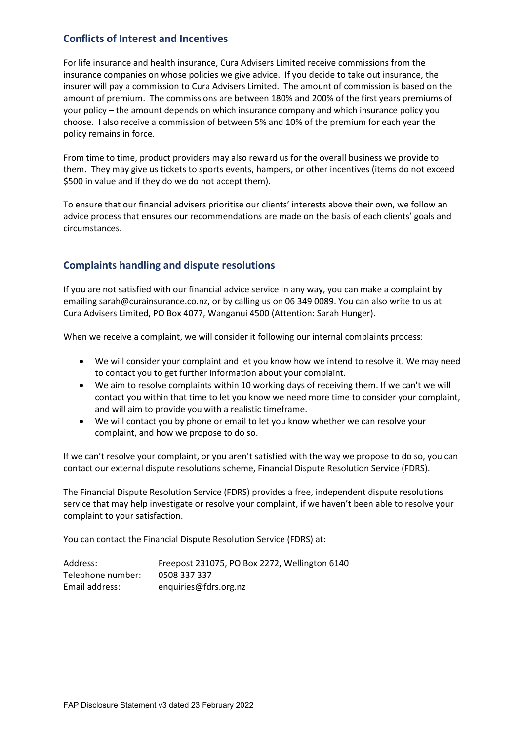# Conflicts of Interest and Incentives

For life insurance and health insurance, Cura Advisers Limited receive commissions from the insurance companies on whose policies we give advice. If you decide to take out insurance, the insurer will pay a commission to Cura Advisers Limited. The amount of commission is based on the amount of premium. The commissions are between 180% and 200% of the first years premiums of your policy – the amount depends on which insurance company and which insurance policy you choose. I also receive a commission of between 5% and 10% of the premium for each year the policy remains in force.

From time to time, product providers may also reward us for the overall business we provide to them. They may give us tickets to sports events, hampers, or other incentives (items do not exceed \$500 in value and if they do we do not accept them).

To ensure that our financial advisers prioritise our clients' interests above their own, we follow an advice process that ensures our recommendations are made on the basis of each clients' goals and circumstances.

# Complaints handling and dispute resolutions

If you are not satisfied with our financial advice service in any way, you can make a complaint by emailing sarah@curainsurance.co.nz, or by calling us on 06 349 0089. You can also write to us at: Cura Advisers Limited, PO Box 4077, Wanganui 4500 (Attention: Sarah Hunger).

When we receive a complaint, we will consider it following our internal complaints process:

- We will consider your complaint and let you know how we intend to resolve it. We may need to contact you to get further information about your complaint.
- We aim to resolve complaints within 10 working days of receiving them. If we can't we will contact you within that time to let you know we need more time to consider your complaint, and will aim to provide you with a realistic timeframe.
- We will contact you by phone or email to let you know whether we can resolve your complaint, and how we propose to do so.

If we can't resolve your complaint, or you aren't satisfied with the way we propose to do so, you can contact our external dispute resolutions scheme, Financial Dispute Resolution Service (FDRS).

The Financial Dispute Resolution Service (FDRS) provides a free, independent dispute resolutions service that may help investigate or resolve your complaint, if we haven't been able to resolve your complaint to your satisfaction.

You can contact the Financial Dispute Resolution Service (FDRS) at:

| Address:          | Freepost 231075, PO Box 2272, Wellington 6140 |
|-------------------|-----------------------------------------------|
| Telephone number: | 0508 337 337                                  |
| Email address:    | enquiries@fdrs.org.nz                         |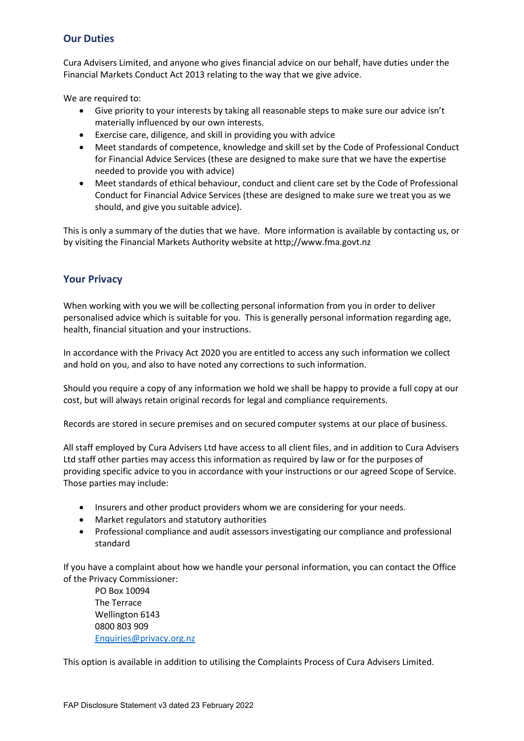# Our Duties

Cura Advisers Limited, and anyone who gives financial advice on our behalf, have duties under the Financial Markets Conduct Act 2013 relating to the way that we give advice.

We are required to:

- Give priority to your interests by taking all reasonable steps to make sure our advice isn't materially influenced by our own interests.
- Exercise care, diligence, and skill in providing you with advice
- Meet standards of competence, knowledge and skill set by the Code of Professional Conduct for Financial Advice Services (these are designed to make sure that we have the expertise needed to provide you with advice)
- Meet standards of ethical behaviour, conduct and client care set by the Code of Professional Conduct for Financial Advice Services (these are designed to make sure we treat you as we should, and give you suitable advice).

This is only a summary of the duties that we have. More information is available by contacting us, or by visiting the Financial Markets Authority website at http;//www.fma.govt.nz

## Your Privacy

When working with you we will be collecting personal information from you in order to deliver personalised advice which is suitable for you. This is generally personal information regarding age, health, financial situation and your instructions.

In accordance with the Privacy Act 2020 you are entitled to access any such information we collect and hold on you, and also to have noted any corrections to such information.

Should you require a copy of any information we hold we shall be happy to provide a full copy at our cost, but will always retain original records for legal and compliance requirements.

Records are stored in secure premises and on secured computer systems at our place of business.

All staff employed by Cura Advisers Ltd have access to all client files, and in addition to Cura Advisers Ltd staff other parties may access this information as required by law or for the purposes of providing specific advice to you in accordance with your instructions or our agreed Scope of Service. Those parties may include:

- Insurers and other product providers whom we are considering for your needs.
- Market regulators and statutory authorities
- Professional compliance and audit assessors investigating our compliance and professional standard

If you have a complaint about how we handle your personal information, you can contact the Office of the Privacy Commissioner:

 PO Box 10094 The Terrace Wellington 6143 0800 803 909 Enquiries@privacy.org.nz

This option is available in addition to utilising the Complaints Process of Cura Advisers Limited.